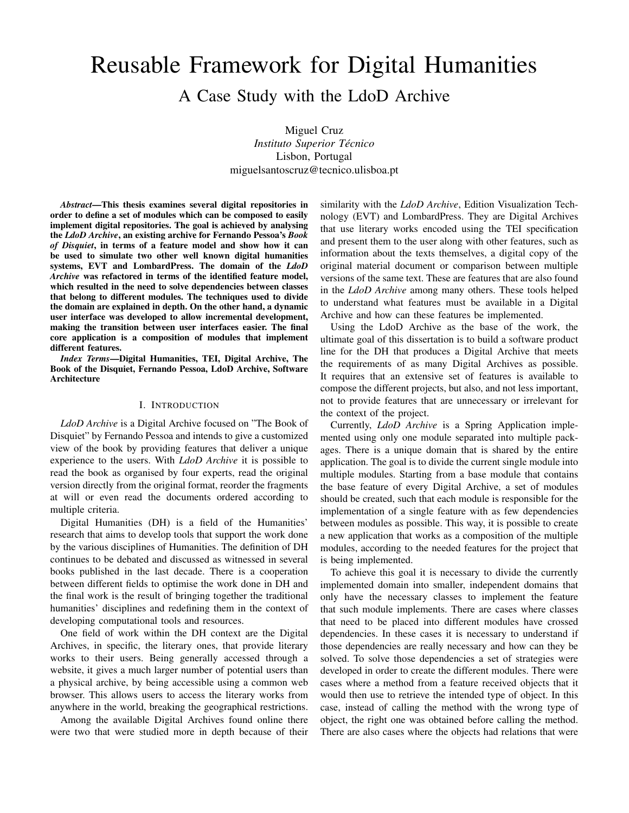# Reusable Framework for Digital Humanities

A Case Study with the LdoD Archive

Miguel Cruz *Instituto Superior Tecnico ´* Lisbon, Portugal miguelsantoscruz@tecnico.ulisboa.pt

*Abstract*—This thesis examines several digital repositories in order to define a set of modules which can be composed to easily implement digital repositories. The goal is achieved by analysing the *LdoD Archive*, an existing archive for Fernando Pessoa's *Book of Disquiet*, in terms of a feature model and show how it can be used to simulate two other well known digital humanities systems, EVT and LombardPress. The domain of the *LdoD Archive* was refactored in terms of the identified feature model, which resulted in the need to solve dependencies between classes that belong to different modules. The techniques used to divide the domain are explained in depth. On the other hand, a dynamic user interface was developed to allow incremental development, making the transition between user interfaces easier. The final core application is a composition of modules that implement different features.

*Index Terms*—Digital Humanities, TEI, Digital Archive, The Book of the Disquiet, Fernando Pessoa, LdoD Archive, Software Architecture

#### I. INTRODUCTION

*LdoD Archive* is a Digital Archive focused on "The Book of Disquiet" by Fernando Pessoa and intends to give a customized view of the book by providing features that deliver a unique experience to the users. With *LdoD Archive* it is possible to read the book as organised by four experts, read the original version directly from the original format, reorder the fragments at will or even read the documents ordered according to multiple criteria.

Digital Humanities (DH) is a field of the Humanities' research that aims to develop tools that support the work done by the various disciplines of Humanities. The definition of DH continues to be debated and discussed as witnessed in several books published in the last decade. There is a cooperation between different fields to optimise the work done in DH and the final work is the result of bringing together the traditional humanities' disciplines and redefining them in the context of developing computational tools and resources.

One field of work within the DH context are the Digital Archives, in specific, the literary ones, that provide literary works to their users. Being generally accessed through a website, it gives a much larger number of potential users than a physical archive, by being accessible using a common web browser. This allows users to access the literary works from anywhere in the world, breaking the geographical restrictions.

Among the available Digital Archives found online there were two that were studied more in depth because of their similarity with the *LdoD Archive*, Edition Visualization Technology (EVT) and LombardPress. They are Digital Archives that use literary works encoded using the TEI specification and present them to the user along with other features, such as information about the texts themselves, a digital copy of the original material document or comparison between multiple versions of the same text. These are features that are also found in the *LdoD Archive* among many others. These tools helped to understand what features must be available in a Digital Archive and how can these features be implemented.

Using the LdoD Archive as the base of the work, the ultimate goal of this dissertation is to build a software product line for the DH that produces a Digital Archive that meets the requirements of as many Digital Archives as possible. It requires that an extensive set of features is available to compose the different projects, but also, and not less important, not to provide features that are unnecessary or irrelevant for the context of the project.

Currently, *LdoD Archive* is a Spring Application implemented using only one module separated into multiple packages. There is a unique domain that is shared by the entire application. The goal is to divide the current single module into multiple modules. Starting from a base module that contains the base feature of every Digital Archive, a set of modules should be created, such that each module is responsible for the implementation of a single feature with as few dependencies between modules as possible. This way, it is possible to create a new application that works as a composition of the multiple modules, according to the needed features for the project that is being implemented.

To achieve this goal it is necessary to divide the currently implemented domain into smaller, independent domains that only have the necessary classes to implement the feature that such module implements. There are cases where classes that need to be placed into different modules have crossed dependencies. In these cases it is necessary to understand if those dependencies are really necessary and how can they be solved. To solve those dependencies a set of strategies were developed in order to create the different modules. There were cases where a method from a feature received objects that it would then use to retrieve the intended type of object. In this case, instead of calling the method with the wrong type of object, the right one was obtained before calling the method. There are also cases where the objects had relations that were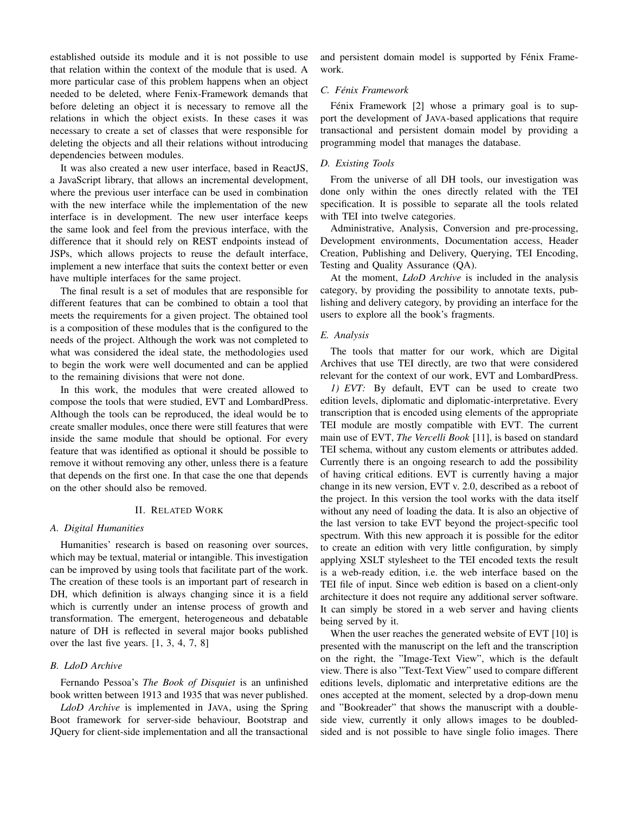established outside its module and it is not possible to use that relation within the context of the module that is used. A more particular case of this problem happens when an object needed to be deleted, where Fenix-Framework demands that before deleting an object it is necessary to remove all the relations in which the object exists. In these cases it was necessary to create a set of classes that were responsible for deleting the objects and all their relations without introducing dependencies between modules.

It was also created a new user interface, based in ReactJS, a JavaScript library, that allows an incremental development, where the previous user interface can be used in combination with the new interface while the implementation of the new interface is in development. The new user interface keeps the same look and feel from the previous interface, with the difference that it should rely on REST endpoints instead of JSPs, which allows projects to reuse the default interface, implement a new interface that suits the context better or even have multiple interfaces for the same project.

The final result is a set of modules that are responsible for different features that can be combined to obtain a tool that meets the requirements for a given project. The obtained tool is a composition of these modules that is the configured to the needs of the project. Although the work was not completed to what was considered the ideal state, the methodologies used to begin the work were well documented and can be applied to the remaining divisions that were not done.

In this work, the modules that were created allowed to compose the tools that were studied, EVT and LombardPress. Although the tools can be reproduced, the ideal would be to create smaller modules, once there were still features that were inside the same module that should be optional. For every feature that was identified as optional it should be possible to remove it without removing any other, unless there is a feature that depends on the first one. In that case the one that depends on the other should also be removed.

## II. RELATED WORK

## *A. Digital Humanities*

Humanities' research is based on reasoning over sources, which may be textual, material or intangible. This investigation can be improved by using tools that facilitate part of the work. The creation of these tools is an important part of research in DH, which definition is always changing since it is a field which is currently under an intense process of growth and transformation. The emergent, heterogeneous and debatable nature of DH is reflected in several major books published over the last five years. [1, 3, 4, 7, 8]

# *B. LdoD Archive*

Fernando Pessoa's *The Book of Disquiet* is an unfinished book written between 1913 and 1935 that was never published.

*LdoD Archive* is implemented in JAVA, using the Spring Boot framework for server-side behaviour, Bootstrap and JQuery for client-side implementation and all the transactional and persistent domain model is supported by Fénix Framework.

## *C. Fenix Framework ´*

Fénix Framework [2] whose a primary goal is to support the development of JAVA-based applications that require transactional and persistent domain model by providing a programming model that manages the database.

## *D. Existing Tools*

From the universe of all DH tools, our investigation was done only within the ones directly related with the TEI specification. It is possible to separate all the tools related with TEI into twelve categories.

Administrative, Analysis, Conversion and pre-processing, Development environments, Documentation access, Header Creation, Publishing and Delivery, Querying, TEI Encoding, Testing and Quality Assurance (QA).

At the moment, *LdoD Archive* is included in the analysis category, by providing the possibility to annotate texts, publishing and delivery category, by providing an interface for the users to explore all the book's fragments.

#### *E. Analysis*

The tools that matter for our work, which are Digital Archives that use TEI directly, are two that were considered relevant for the context of our work, EVT and LombardPress.

*1) EVT:* By default, EVT can be used to create two edition levels, diplomatic and diplomatic-interpretative. Every transcription that is encoded using elements of the appropriate TEI module are mostly compatible with EVT. The current main use of EVT, *The Vercelli Book* [11], is based on standard TEI schema, without any custom elements or attributes added. Currently there is an ongoing research to add the possibility of having critical editions. EVT is currently having a major change in its new version, EVT v. 2.0, described as a reboot of the project. In this version the tool works with the data itself without any need of loading the data. It is also an objective of the last version to take EVT beyond the project-specific tool spectrum. With this new approach it is possible for the editor to create an edition with very little configuration, by simply applying XSLT stylesheet to the TEI encoded texts the result is a web-ready edition, i.e. the web interface based on the TEI file of input. Since web edition is based on a client-only architecture it does not require any additional server software. It can simply be stored in a web server and having clients being served by it.

When the user reaches the generated website of EVT [10] is presented with the manuscript on the left and the transcription on the right, the "Image-Text View", which is the default view. There is also "Text-Text View" used to compare different editions levels, diplomatic and interpretative editions are the ones accepted at the moment, selected by a drop-down menu and "Bookreader" that shows the manuscript with a doubleside view, currently it only allows images to be doubledsided and is not possible to have single folio images. There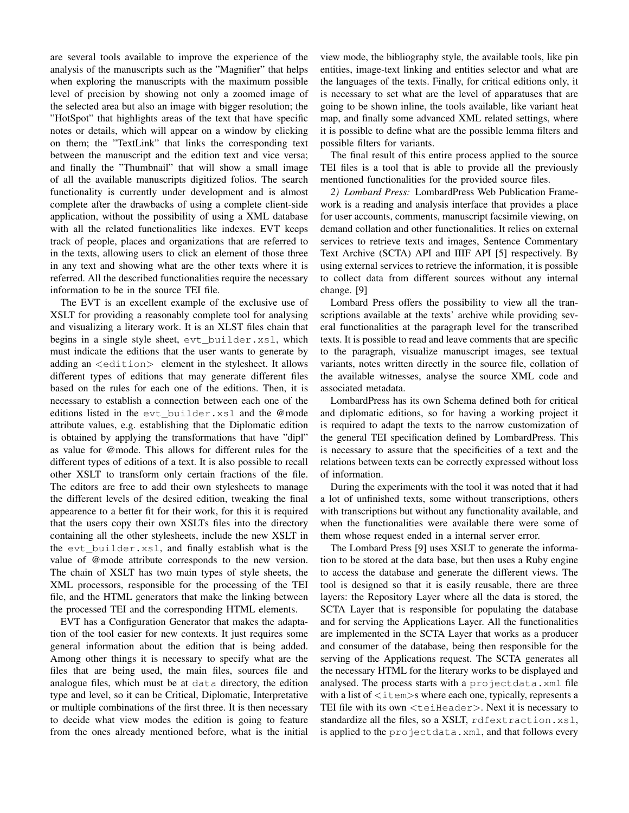are several tools available to improve the experience of the analysis of the manuscripts such as the "Magnifier" that helps when exploring the manuscripts with the maximum possible level of precision by showing not only a zoomed image of the selected area but also an image with bigger resolution; the "HotSpot" that highlights areas of the text that have specific notes or details, which will appear on a window by clicking on them; the "TextLink" that links the corresponding text between the manuscript and the edition text and vice versa; and finally the "Thumbnail" that will show a small image of all the available manuscripts digitized folios. The search functionality is currently under development and is almost complete after the drawbacks of using a complete client-side application, without the possibility of using a XML database with all the related functionalities like indexes. EVT keeps track of people, places and organizations that are referred to in the texts, allowing users to click an element of those three in any text and showing what are the other texts where it is referred. All the described functionalities require the necessary information to be in the source TEI file.

The EVT is an excellent example of the exclusive use of XSLT for providing a reasonably complete tool for analysing and visualizing a literary work. It is an XLST files chain that begins in a single style sheet, evt\_builder.xsl, which must indicate the editions that the user wants to generate by adding an <edition> element in the stylesheet. It allows different types of editions that may generate different files based on the rules for each one of the editions. Then, it is necessary to establish a connection between each one of the editions listed in the evt\_builder.xsl and the @mode attribute values, e.g. establishing that the Diplomatic edition is obtained by applying the transformations that have "dipl" as value for @mode. This allows for different rules for the different types of editions of a text. It is also possible to recall other XSLT to transform only certain fractions of the file. The editors are free to add their own stylesheets to manage the different levels of the desired edition, tweaking the final appearence to a better fit for their work, for this it is required that the users copy their own XSLTs files into the directory containing all the other stylesheets, include the new XSLT in the evt\_builder.xsl, and finally establish what is the value of @mode attribute corresponds to the new version. The chain of XSLT has two main types of style sheets, the XML processors, responsible for the processing of the TEI file, and the HTML generators that make the linking between the processed TEI and the corresponding HTML elements.

EVT has a Configuration Generator that makes the adaptation of the tool easier for new contexts. It just requires some general information about the edition that is being added. Among other things it is necessary to specify what are the files that are being used, the main files, sources file and analogue files, which must be at data directory, the edition type and level, so it can be Critical, Diplomatic, Interpretative or multiple combinations of the first three. It is then necessary to decide what view modes the edition is going to feature from the ones already mentioned before, what is the initial view mode, the bibliography style, the available tools, like pin entities, image-text linking and entities selector and what are the languages of the texts. Finally, for critical editions only, it is necessary to set what are the level of apparatuses that are going to be shown inline, the tools available, like variant heat map, and finally some advanced XML related settings, where it is possible to define what are the possible lemma filters and possible filters for variants.

The final result of this entire process applied to the source TEI files is a tool that is able to provide all the previously mentioned functionalities for the provided source files.

*2) Lombard Press:* LombardPress Web Publication Framework is a reading and analysis interface that provides a place for user accounts, comments, manuscript facsimile viewing, on demand collation and other functionalities. It relies on external services to retrieve texts and images, Sentence Commentary Text Archive (SCTA) API and IIIF API [5] respectively. By using external services to retrieve the information, it is possible to collect data from different sources without any internal change. [9]

Lombard Press offers the possibility to view all the transcriptions available at the texts' archive while providing several functionalities at the paragraph level for the transcribed texts. It is possible to read and leave comments that are specific to the paragraph, visualize manuscript images, see textual variants, notes written directly in the source file, collation of the available witnesses, analyse the source XML code and associated metadata.

LombardPress has its own Schema defined both for critical and diplomatic editions, so for having a working project it is required to adapt the texts to the narrow customization of the general TEI specification defined by LombardPress. This is necessary to assure that the specificities of a text and the relations between texts can be correctly expressed without loss of information.

During the experiments with the tool it was noted that it had a lot of unfinished texts, some without transcriptions, others with transcriptions but without any functionality available, and when the functionalities were available there were some of them whose request ended in a internal server error.

The Lombard Press [9] uses XSLT to generate the information to be stored at the data base, but then uses a Ruby engine to access the database and generate the different views. The tool is designed so that it is easily reusable, there are three layers: the Repository Layer where all the data is stored, the SCTA Layer that is responsible for populating the database and for serving the Applications Layer. All the functionalities are implemented in the SCTA Layer that works as a producer and consumer of the database, being then responsible for the serving of the Applications request. The SCTA generates all the necessary HTML for the literary works to be displayed and analysed. The process starts with a projectdata.xml file with a list of  $\langle\text{item}\rangle$ s where each one, typically, represents a TEI file with its own  $\lt$ teiHeader $>$ . Next it is necessary to standardize all the files, so a XSLT, rdfextraction.xsl, is applied to the projectdata.xml, and that follows every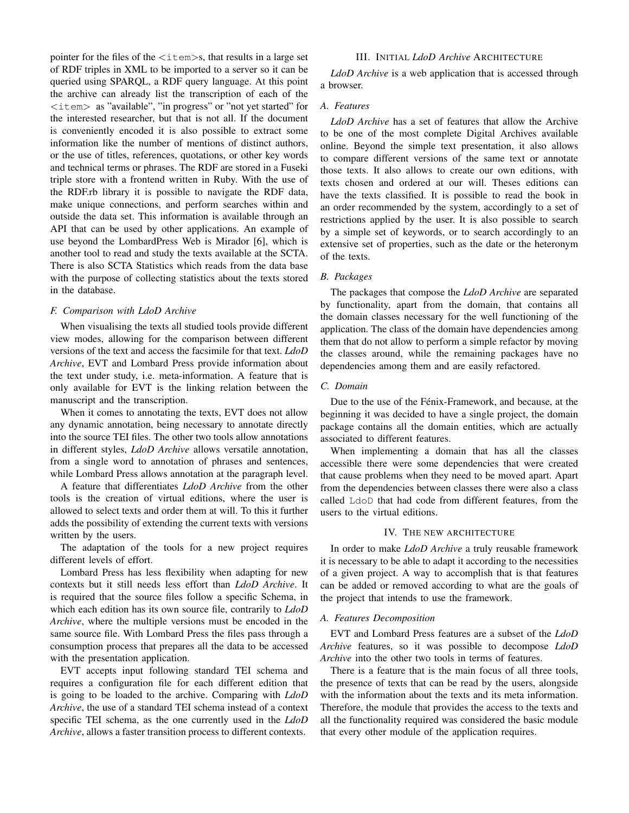pointer for the files of the  $\langle\pm\text{tem}\rangle$ s, that results in a large set of RDF triples in XML to be imported to a server so it can be queried using SPARQL, a RDF query language. At this point the archive can already list the transcription of each of the <item> as "available", "in progress" or "not yet started" for the interested researcher, but that is not all. If the document is conveniently encoded it is also possible to extract some information like the number of mentions of distinct authors, or the use of titles, references, quotations, or other key words and technical terms or phrases. The RDF are stored in a Fuseki triple store with a frontend written in Ruby. With the use of the RDF.rb library it is possible to navigate the RDF data, make unique connections, and perform searches within and outside the data set. This information is available through an API that can be used by other applications. An example of use beyond the LombardPress Web is Mirador [6], which is another tool to read and study the texts available at the SCTA. There is also SCTA Statistics which reads from the data base with the purpose of collecting statistics about the texts stored in the database.

## *F. Comparison with LdoD Archive*

When visualising the texts all studied tools provide different view modes, allowing for the comparison between different versions of the text and access the facsimile for that text. *LdoD Archive*, EVT and Lombard Press provide information about the text under study, i.e. meta-information. A feature that is only available for EVT is the linking relation between the manuscript and the transcription.

When it comes to annotating the texts, EVT does not allow any dynamic annotation, being necessary to annotate directly into the source TEI files. The other two tools allow annotations in different styles, *LdoD Archive* allows versatile annotation, from a single word to annotation of phrases and sentences, while Lombard Press allows annotation at the paragraph level.

A feature that differentiates *LdoD Archive* from the other tools is the creation of virtual editions, where the user is allowed to select texts and order them at will. To this it further adds the possibility of extending the current texts with versions written by the users.

The adaptation of the tools for a new project requires different levels of effort.

Lombard Press has less flexibility when adapting for new contexts but it still needs less effort than *LdoD Archive*. It is required that the source files follow a specific Schema, in which each edition has its own source file, contrarily to *LdoD Archive*, where the multiple versions must be encoded in the same source file. With Lombard Press the files pass through a consumption process that prepares all the data to be accessed with the presentation application.

EVT accepts input following standard TEI schema and requires a configuration file for each different edition that is going to be loaded to the archive. Comparing with *LdoD Archive*, the use of a standard TEI schema instead of a context specific TEI schema, as the one currently used in the *LdoD Archive*, allows a faster transition process to different contexts.

## III. INITIAL *LdoD Archive* ARCHITECTURE

*LdoD Archive* is a web application that is accessed through a browser.

## *A. Features*

*LdoD Archive* has a set of features that allow the Archive to be one of the most complete Digital Archives available online. Beyond the simple text presentation, it also allows to compare different versions of the same text or annotate those texts. It also allows to create our own editions, with texts chosen and ordered at our will. Theses editions can have the texts classified. It is possible to read the book in an order recommended by the system, accordingly to a set of restrictions applied by the user. It is also possible to search by a simple set of keywords, or to search accordingly to an extensive set of properties, such as the date or the heteronym of the texts.

# *B. Packages*

The packages that compose the *LdoD Archive* are separated by functionality, apart from the domain, that contains all the domain classes necessary for the well functioning of the application. The class of the domain have dependencies among them that do not allow to perform a simple refactor by moving the classes around, while the remaining packages have no dependencies among them and are easily refactored.

## *C. Domain*

Due to the use of the Fénix-Framework, and because, at the beginning it was decided to have a single project, the domain package contains all the domain entities, which are actually associated to different features.

When implementing a domain that has all the classes accessible there were some dependencies that were created that cause problems when they need to be moved apart. Apart from the dependencies between classes there were also a class called LdoD that had code from different features, from the users to the virtual editions.

# IV. THE NEW ARCHITECTURE

In order to make *LdoD Archive* a truly reusable framework it is necessary to be able to adapt it according to the necessities of a given project. A way to accomplish that is that features can be added or removed according to what are the goals of the project that intends to use the framework.

## *A. Features Decomposition*

EVT and Lombard Press features are a subset of the *LdoD Archive* features, so it was possible to decompose *LdoD Archive* into the other two tools in terms of features.

There is a feature that is the main focus of all three tools, the presence of texts that can be read by the users, alongside with the information about the texts and its meta information. Therefore, the module that provides the access to the texts and all the functionality required was considered the basic module that every other module of the application requires.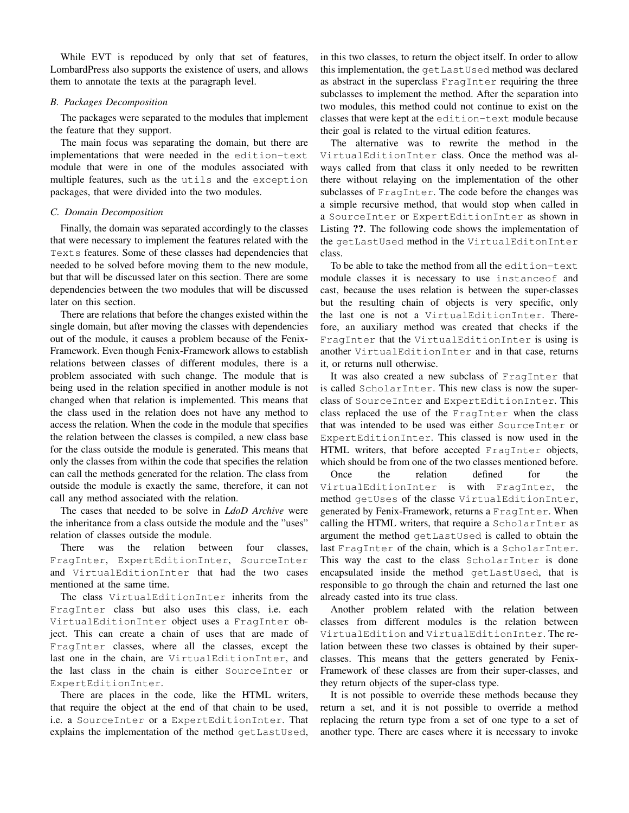While EVT is repoduced by only that set of features, LombardPress also supports the existence of users, and allows them to annotate the texts at the paragraph level.

# *B. Packages Decomposition*

The packages were separated to the modules that implement the feature that they support.

The main focus was separating the domain, but there are implementations that were needed in the edition-text module that were in one of the modules associated with multiple features, such as the utils and the exception packages, that were divided into the two modules.

# *C. Domain Decomposition*

Finally, the domain was separated accordingly to the classes that were necessary to implement the features related with the Texts features. Some of these classes had dependencies that needed to be solved before moving them to the new module, but that will be discussed later on this section. There are some dependencies between the two modules that will be discussed later on this section.

There are relations that before the changes existed within the single domain, but after moving the classes with dependencies out of the module, it causes a problem because of the Fenix-Framework. Even though Fenix-Framework allows to establish relations between classes of different modules, there is a problem associated with such change. The module that is being used in the relation specified in another module is not changed when that relation is implemented. This means that the class used in the relation does not have any method to access the relation. When the code in the module that specifies the relation between the classes is compiled, a new class base for the class outside the module is generated. This means that only the classes from within the code that specifies the relation can call the methods generated for the relation. The class from outside the module is exactly the same, therefore, it can not call any method associated with the relation.

The cases that needed to be solve in *LdoD Archive* were the inheritance from a class outside the module and the "uses" relation of classes outside the module.

There was the relation between four classes, FragInter, ExpertEditionInter, SourceInter and VirtualEditionInter that had the two cases mentioned at the same time.

The class VirtualEditionInter inherits from the FragInter class but also uses this class, i.e. each VirtualEditionInter object uses a FragInter object. This can create a chain of uses that are made of FragInter classes, where all the classes, except the last one in the chain, are VirtualEditionInter, and the last class in the chain is either SourceInter or ExpertEditionInter.

There are places in the code, like the HTML writers, that require the object at the end of that chain to be used, i.e. a SourceInter or a ExpertEditionInter. That explains the implementation of the method getLastUsed,

in this two classes, to return the object itself. In order to allow this implementation, the getLastUsed method was declared as abstract in the superclass FragInter requiring the three subclasses to implement the method. After the separation into two modules, this method could not continue to exist on the classes that were kept at the edition-text module because their goal is related to the virtual edition features.

The alternative was to rewrite the method in the VirtualEditionInter class. Once the method was always called from that class it only needed to be rewritten there without relaying on the implementation of the other subclasses of FragInter. The code before the changes was a simple recursive method, that would stop when called in a SourceInter or ExpertEditionInter as shown in Listing ??. The following code shows the implementation of the getLastUsed method in the VirtualEditonInter class.

To be able to take the method from all the edition-text module classes it is necessary to use instanceof and cast, because the uses relation is between the super-classes but the resulting chain of objects is very specific, only the last one is not a VirtualEditionInter. Therefore, an auxiliary method was created that checks if the FragInter that the VirtualEditionInter is using is another VirtualEditionInter and in that case, returns it, or returns null otherwise.

It was also created a new subclass of FragInter that is called ScholarInter. This new class is now the superclass of SourceInter and ExpertEditionInter. This class replaced the use of the FragInter when the class that was intended to be used was either SourceInter or ExpertEditionInter. This classed is now used in the HTML writers, that before accepted FragInter objects, which should be from one of the two classes mentioned before.

Once the relation defined for the VirtualEditionInter is with FragInter, the method getUses of the classe VirtualEditionInter, generated by Fenix-Framework, returns a FragInter. When calling the HTML writers, that require a ScholarInter as argument the method getLastUsed is called to obtain the last FragInter of the chain, which is a ScholarInter. This way the cast to the class ScholarInter is done encapsulated inside the method getLastUsed, that is responsible to go through the chain and returned the last one already casted into its true class.

Another problem related with the relation between classes from different modules is the relation between VirtualEdition and VirtualEditionInter. The relation between these two classes is obtained by their superclasses. This means that the getters generated by Fenix-Framework of these classes are from their super-classes, and they return objects of the super-class type.

It is not possible to override these methods because they return a set, and it is not possible to override a method replacing the return type from a set of one type to a set of another type. There are cases where it is necessary to invoke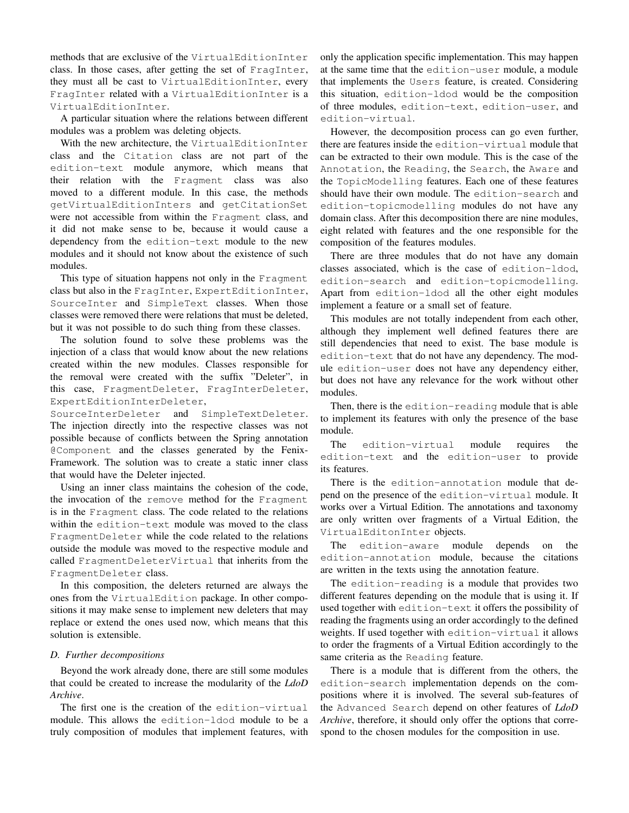methods that are exclusive of the VirtualEditionInter class. In those cases, after getting the set of FragInter, they must all be cast to VirtualEditionInter, every FragInter related with a VirtualEditionInter is a VirtualEditionInter.

A particular situation where the relations between different modules was a problem was deleting objects.

With the new architecture, the VirtualEditionInter class and the Citation class are not part of the edition-text module anymore, which means that their relation with the Fragment class was also moved to a different module. In this case, the methods getVirtualEditionInters and getCitationSet were not accessible from within the Fragment class, and it did not make sense to be, because it would cause a dependency from the edition-text module to the new modules and it should not know about the existence of such modules.

This type of situation happens not only in the Fragment class but also in the FragInter, ExpertEditionInter, SourceInter and SimpleText classes. When those classes were removed there were relations that must be deleted, but it was not possible to do such thing from these classes.

The solution found to solve these problems was the injection of a class that would know about the new relations created within the new modules. Classes responsible for the removal were created with the suffix "Deleter", in this case, FragmentDeleter, FragInterDeleter, ExpertEditionInterDeleter,

SourceInterDeleter and SimpleTextDeleter. The injection directly into the respective classes was not possible because of conflicts between the Spring annotation @Component and the classes generated by the Fenix-Framework. The solution was to create a static inner class that would have the Deleter injected.

Using an inner class maintains the cohesion of the code, the invocation of the remove method for the Fragment is in the Fragment class. The code related to the relations within the edition-text module was moved to the class FragmentDeleter while the code related to the relations outside the module was moved to the respective module and called FragmentDeleterVirtual that inherits from the FragmentDeleter class.

In this composition, the deleters returned are always the ones from the VirtualEdition package. In other compositions it may make sense to implement new deleters that may replace or extend the ones used now, which means that this solution is extensible.

## *D. Further decompositions*

Beyond the work already done, there are still some modules that could be created to increase the modularity of the *LdoD Archive*.

The first one is the creation of the edition-virtual module. This allows the edition-ldod module to be a truly composition of modules that implement features, with only the application specific implementation. This may happen at the same time that the edition-user module, a module that implements the Users feature, is created. Considering this situation, edition-ldod would be the composition of three modules, edition-text, edition-user, and edition-virtual.

However, the decomposition process can go even further, there are features inside the edition-virtual module that can be extracted to their own module. This is the case of the Annotation, the Reading, the Search, the Aware and the TopicModelling features. Each one of these features should have their own module. The edition-search and edition-topicmodelling modules do not have any domain class. After this decomposition there are nine modules, eight related with features and the one responsible for the composition of the features modules.

There are three modules that do not have any domain classes associated, which is the case of edition-ldod, edition-search and edition-topicmodelling. Apart from edition-ldod all the other eight modules implement a feature or a small set of feature.

This modules are not totally independent from each other, although they implement well defined features there are still dependencies that need to exist. The base module is edition-text that do not have any dependency. The module edition-user does not have any dependency either, but does not have any relevance for the work without other modules.

Then, there is the edition-reading module that is able to implement its features with only the presence of the base module.

The edition-virtual module requires the edition-text and the edition-user to provide its features.

There is the edition-annotation module that depend on the presence of the edition-virtual module. It works over a Virtual Edition. The annotations and taxonomy are only written over fragments of a Virtual Edition, the VirtualEditonInter objects.

The edition-aware module depends on the edition-annotation module, because the citations are written in the texts using the annotation feature.

The edition-reading is a module that provides two different features depending on the module that is using it. If used together with edition-text it offers the possibility of reading the fragments using an order accordingly to the defined weights. If used together with edition-virtual it allows to order the fragments of a Virtual Edition accordingly to the same criteria as the Reading feature.

There is a module that is different from the others, the edition-search implementation depends on the compositions where it is involved. The several sub-features of the Advanced Search depend on other features of *LdoD Archive*, therefore, it should only offer the options that correspond to the chosen modules for the composition in use.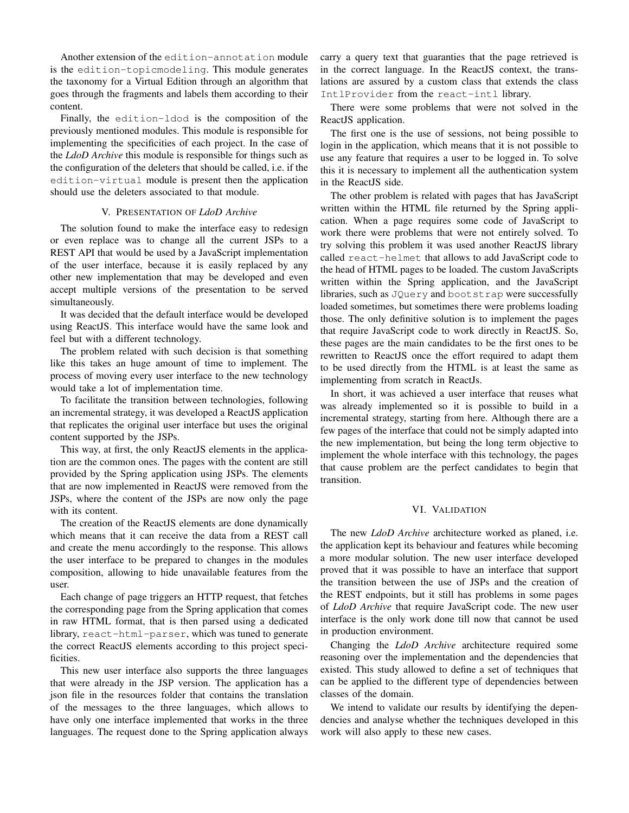Another extension of the edition-annotation module is the edition-topicmodeling. This module generates the taxonomy for a Virtual Edition through an algorithm that goes through the fragments and labels them according to their content.

Finally, the edition-ldod is the composition of the previously mentioned modules. This module is responsible for implementing the specificities of each project. In the case of the *LdoD Archive* this module is responsible for things such as the configuration of the deleters that should be called, i.e. if the edition-virtual module is present then the application should use the deleters associated to that module.

## V. PRESENTATION OF *LdoD Archive*

The solution found to make the interface easy to redesign or even replace was to change all the current JSPs to a REST API that would be used by a JavaScript implementation of the user interface, because it is easily replaced by any other new implementation that may be developed and even accept multiple versions of the presentation to be served simultaneously.

It was decided that the default interface would be developed using ReactJS. This interface would have the same look and feel but with a different technology.

The problem related with such decision is that something like this takes an huge amount of time to implement. The process of moving every user interface to the new technology would take a lot of implementation time.

To facilitate the transition between technologies, following an incremental strategy, it was developed a ReactJS application that replicates the original user interface but uses the original content supported by the JSPs.

This way, at first, the only ReactJS elements in the application are the common ones. The pages with the content are still provided by the Spring application using JSPs. The elements that are now implemented in ReactJS were removed from the JSPs, where the content of the JSPs are now only the page with its content.

The creation of the ReactJS elements are done dynamically which means that it can receive the data from a REST call and create the menu accordingly to the response. This allows the user interface to be prepared to changes in the modules composition, allowing to hide unavailable features from the user.

Each change of page triggers an HTTP request, that fetches the corresponding page from the Spring application that comes in raw HTML format, that is then parsed using a dedicated library, react-html-parser, which was tuned to generate the correct ReactJS elements according to this project specificities.

This new user interface also supports the three languages that were already in the JSP version. The application has a json file in the resources folder that contains the translation of the messages to the three languages, which allows to have only one interface implemented that works in the three languages. The request done to the Spring application always carry a query text that guaranties that the page retrieved is in the correct language. In the ReactJS context, the translations are assured by a custom class that extends the class IntlProvider from the react-intl library.

There were some problems that were not solved in the ReactJS application.

The first one is the use of sessions, not being possible to login in the application, which means that it is not possible to use any feature that requires a user to be logged in. To solve this it is necessary to implement all the authentication system in the ReactJS side.

The other problem is related with pages that has JavaScript written within the HTML file returned by the Spring application. When a page requires some code of JavaScript to work there were problems that were not entirely solved. To try solving this problem it was used another ReactJS library called react-helmet that allows to add JavaScript code to the head of HTML pages to be loaded. The custom JavaScripts written within the Spring application, and the JavaScript libraries, such as JQuery and bootstrap were successfully loaded sometimes, but sometimes there were problems loading those. The only definitive solution is to implement the pages that require JavaScript code to work directly in ReactJS. So, these pages are the main candidates to be the first ones to be rewritten to ReactJS once the effort required to adapt them to be used directly from the HTML is at least the same as implementing from scratch in ReactJs.

In short, it was achieved a user interface that reuses what was already implemented so it is possible to build in a incremental strategy, starting from here. Although there are a few pages of the interface that could not be simply adapted into the new implementation, but being the long term objective to implement the whole interface with this technology, the pages that cause problem are the perfect candidates to begin that transition.

## VI. VALIDATION

The new *LdoD Archive* architecture worked as planed, i.e. the application kept its behaviour and features while becoming a more modular solution. The new user interface developed proved that it was possible to have an interface that support the transition between the use of JSPs and the creation of the REST endpoints, but it still has problems in some pages of *LdoD Archive* that require JavaScript code. The new user interface is the only work done till now that cannot be used in production environment.

Changing the *LdoD Archive* architecture required some reasoning over the implementation and the dependencies that existed. This study allowed to define a set of techniques that can be applied to the different type of dependencies between classes of the domain.

We intend to validate our results by identifying the dependencies and analyse whether the techniques developed in this work will also apply to these new cases.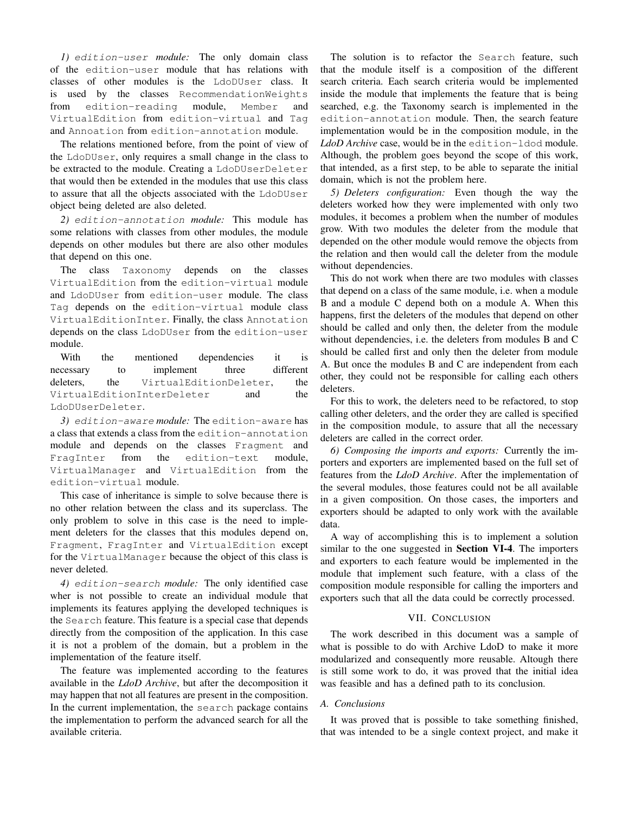*1)* edition-user *module:* The only domain class of the edition-user module that has relations with classes of other modules is the LdoDUser class. It is used by the classes RecommendationWeights from edition-reading module, Member and VirtualEdition from edition-virtual and Tag and Annoation from edition-annotation module.

The relations mentioned before, from the point of view of the LdoDUser, only requires a small change in the class to be extracted to the module. Creating a LdoDUserDeleter that would then be extended in the modules that use this class to assure that all the objects associated with the LdoDUser object being deleted are also deleted.

*2)* edition-annotation *module:* This module has some relations with classes from other modules, the module depends on other modules but there are also other modules that depend on this one.

The class Taxonomy depends on the classes VirtualEdition from the edition-virtual module and LdoDUser from edition-user module. The class Tag depends on the edition-virtual module class VirtualEditionInter. Finally, the class Annotation depends on the class LdoDUser from the edition-user module.

With the mentioned dependencies it is necessary to implement three different deleters, the VirtualEditionDeleter, the VirtualEditionInterDeleter and the LdoDUserDeleter.

*3)* edition-aware *module:* The edition-aware has a class that extends a class from the edition-annotation module and depends on the classes Fragment and FragInter from the edition-text module, VirtualManager and VirtualEdition from the edition-virtual module.

This case of inheritance is simple to solve because there is no other relation between the class and its superclass. The only problem to solve in this case is the need to implement deleters for the classes that this modules depend on, Fragment, FragInter and VirtualEdition except for the VirtualManager because the object of this class is never deleted.

*4)* edition-search *module:* The only identified case wher is not possible to create an individual module that implements its features applying the developed techniques is the Search feature. This feature is a special case that depends directly from the composition of the application. In this case it is not a problem of the domain, but a problem in the implementation of the feature itself.

The feature was implemented according to the features available in the *LdoD Archive*, but after the decomposition it may happen that not all features are present in the composition. In the current implementation, the search package contains the implementation to perform the advanced search for all the available criteria.

The solution is to refactor the Search feature, such that the module itself is a composition of the different search criteria. Each search criteria would be implemented inside the module that implements the feature that is being searched, e.g. the Taxonomy search is implemented in the edition-annotation module. Then, the search feature implementation would be in the composition module, in the *LdoD Archive* case, would be in the edition-ldod module. Although, the problem goes beyond the scope of this work, that intended, as a first step, to be able to separate the initial domain, which is not the problem here.

*5) Deleters configuration:* Even though the way the deleters worked how they were implemented with only two modules, it becomes a problem when the number of modules grow. With two modules the deleter from the module that depended on the other module would remove the objects from the relation and then would call the deleter from the module without dependencies.

This do not work when there are two modules with classes that depend on a class of the same module, i.e. when a module B and a module C depend both on a module A. When this happens, first the deleters of the modules that depend on other should be called and only then, the deleter from the module without dependencies, i.e. the deleters from modules B and C should be called first and only then the deleter from module A. But once the modules B and C are independent from each other, they could not be responsible for calling each others deleters.

For this to work, the deleters need to be refactored, to stop calling other deleters, and the order they are called is specified in the composition module, to assure that all the necessary deleters are called in the correct order.

*6) Composing the imports and exports:* Currently the importers and exporters are implemented based on the full set of features from the *LdoD Archive*. After the implementation of the several modules, those features could not be all available in a given composition. On those cases, the importers and exporters should be adapted to only work with the available data.

A way of accomplishing this is to implement a solution similar to the one suggested in Section VI-4. The importers and exporters to each feature would be implemented in the module that implement such feature, with a class of the composition module responsible for calling the importers and exporters such that all the data could be correctly processed.

# VII. CONCLUSION

The work described in this document was a sample of what is possible to do with Archive LdoD to make it more modularized and consequently more reusable. Altough there is still some work to do, it was proved that the initial idea was feasible and has a defined path to its conclusion.

# *A. Conclusions*

It was proved that is possible to take something finished, that was intended to be a single context project, and make it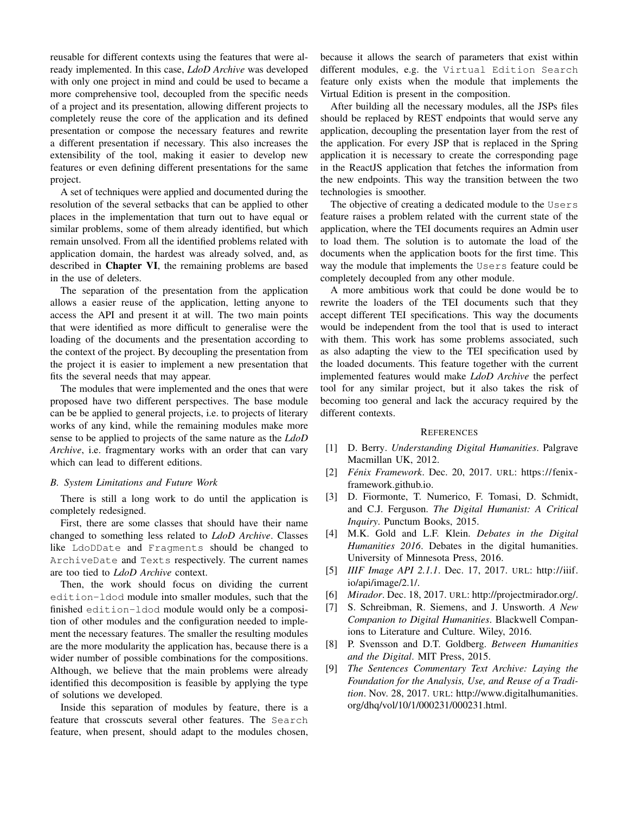reusable for different contexts using the features that were already implemented. In this case, *LdoD Archive* was developed with only one project in mind and could be used to became a more comprehensive tool, decoupled from the specific needs of a project and its presentation, allowing different projects to completely reuse the core of the application and its defined presentation or compose the necessary features and rewrite a different presentation if necessary. This also increases the extensibility of the tool, making it easier to develop new features or even defining different presentations for the same project.

A set of techniques were applied and documented during the resolution of the several setbacks that can be applied to other places in the implementation that turn out to have equal or similar problems, some of them already identified, but which remain unsolved. From all the identified problems related with application domain, the hardest was already solved, and, as described in Chapter VI, the remaining problems are based in the use of deleters.

The separation of the presentation from the application allows a easier reuse of the application, letting anyone to access the API and present it at will. The two main points that were identified as more difficult to generalise were the loading of the documents and the presentation according to the context of the project. By decoupling the presentation from the project it is easier to implement a new presentation that fits the several needs that may appear.

The modules that were implemented and the ones that were proposed have two different perspectives. The base module can be be applied to general projects, i.e. to projects of literary works of any kind, while the remaining modules make more sense to be applied to projects of the same nature as the *LdoD Archive*, i.e. fragmentary works with an order that can vary which can lead to different editions.

## *B. System Limitations and Future Work*

There is still a long work to do until the application is completely redesigned.

First, there are some classes that should have their name changed to something less related to *LdoD Archive*. Classes like LdoDDate and Fragments should be changed to ArchiveDate and Texts respectively. The current names are too tied to *LdoD Archive* context.

Then, the work should focus on dividing the current edition-ldod module into smaller modules, such that the finished edition-ldod module would only be a composition of other modules and the configuration needed to implement the necessary features. The smaller the resulting modules are the more modularity the application has, because there is a wider number of possible combinations for the compositions. Although, we believe that the main problems were already identified this decomposition is feasible by applying the type of solutions we developed.

Inside this separation of modules by feature, there is a feature that crosscuts several other features. The Search feature, when present, should adapt to the modules chosen, because it allows the search of parameters that exist within different modules, e.g. the Virtual Edition Search feature only exists when the module that implements the Virtual Edition is present in the composition.

After building all the necessary modules, all the JSPs files should be replaced by REST endpoints that would serve any application, decoupling the presentation layer from the rest of the application. For every JSP that is replaced in the Spring application it is necessary to create the corresponding page in the ReactJS application that fetches the information from the new endpoints. This way the transition between the two technologies is smoother.

The objective of creating a dedicated module to the Users feature raises a problem related with the current state of the application, where the TEI documents requires an Admin user to load them. The solution is to automate the load of the documents when the application boots for the first time. This way the module that implements the Users feature could be completely decoupled from any other module.

A more ambitious work that could be done would be to rewrite the loaders of the TEI documents such that they accept different TEI specifications. This way the documents would be independent from the tool that is used to interact with them. This work has some problems associated, such as also adapting the view to the TEI specification used by the loaded documents. This feature together with the current implemented features would make *LdoD Archive* the perfect tool for any similar project, but it also takes the risk of becoming too general and lack the accuracy required by the different contexts.

## **REFERENCES**

- [1] D. Berry. *Understanding Digital Humanities*. Palgrave Macmillan UK, 2012.
- [2] *Fénix Framework*. Dec. 20, 2017. URL: https://fenixframework.github.io.
- [3] D. Fiormonte, T. Numerico, F. Tomasi, D. Schmidt, and C.J. Ferguson. *The Digital Humanist: A Critical Inquiry*. Punctum Books, 2015.
- [4] M.K. Gold and L.F. Klein. *Debates in the Digital Humanities 2016*. Debates in the digital humanities. University of Minnesota Press, 2016.
- [5] *IIIF Image API 2.1.1*. Dec. 17, 2017. URL: http://iiif. io/api/image/2.1/.
- [6] *Mirador*. Dec. 18, 2017. URL: http://projectmirador.org/.
- [7] S. Schreibman, R. Siemens, and J. Unsworth. *A New Companion to Digital Humanities*. Blackwell Companions to Literature and Culture. Wiley, 2016.
- [8] P. Svensson and D.T. Goldberg. *Between Humanities and the Digital*. MIT Press, 2015.
- [9] *The Sentences Commentary Text Archive: Laying the Foundation for the Analysis, Use, and Reuse of a Tradition*. Nov. 28, 2017. URL: http://www.digitalhumanities. org/dhq/vol/10/1/000231/000231.html.